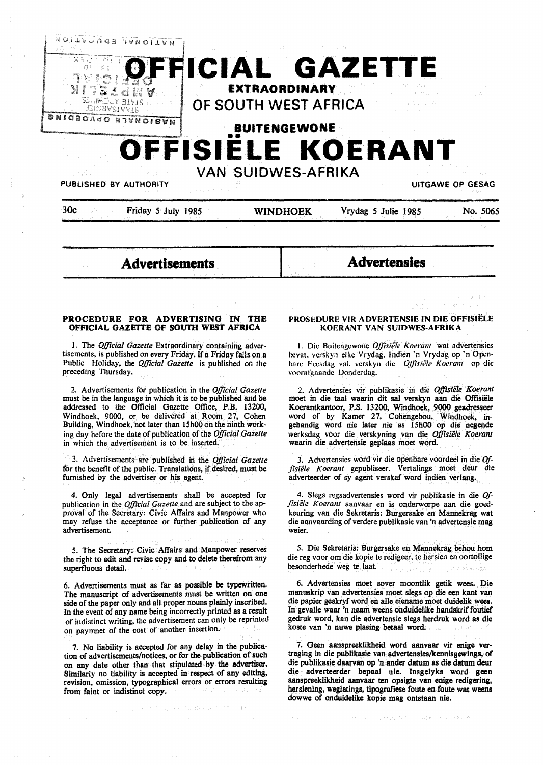

2. Advertisements for publication in the *Official Gazette*  must be in the language in which it is to be published and be addressed to the Official Gazette Office, P.B. 13200, Windhoek, 9000, or be delivered at Room 27, Cohen Building, Windhoek, not later than 15h00 on the ninth working day before the date of publication of the *Official Gazette*  in which the advertisement is to be inserted.

preceding Thursday.

3. Advertisements are published in the *Official Gazette*  for the benefit of the public. Translations, if desired, must be furnished by the advertiser or his agent.

4. Only legal advertisements shall be accepted for publication in the *Official Gazette* and are subject to the approval of the Secretary: Civic Affairs and Manpower who may refuse the acceptance or further publication of any advertisement.

*5.* The Secretary: Civic Affairs and Manpower reserves the right to edit and revise copy and to delete therefrom any superfluous detail.

6. Advertisements must as far as possible be typewritten. The manuscript of advertisements must be written on one side of the paper only and all proper nouns plainly inscribed. In the event of any name being incorrectly printed as a result of indistinct writing, the advertisement can only be reprinted on paymnet of the cost of another insertion.

7. No liability is accepted for any delay in the publication of advertisements/notices, or for the publication of such on any date other than that stipulated by the advertiser. Similarly no liability is accepted in respect of any editing, revision, omission, typographical errors or errors resulting from faint or indistinct copy.

iya na karama ta <sup>t</sup>ereftiriya da Mezira a Cande<mark>let</mark>.

hare Feesdag val. verskyn die *Offisiële Koerant* op die voorafgaande Donderdag.

2. Advertensies vir publikasie in die *Offisiele Koerant*  moet in die taal waarin dit sal verskyn aan die Offisiële Koerantkantoor, P.S. 13200, Windhoek, 9000 geadresseer word of by Kamer 27, Cohengebou, Windhoek, ingehandig word nie later nie as 15h00 op die negende werksdag voor die verskyning van die *Offisiele Koerant*  waarin die advertensie geplaas moet word.

3. Advertensies word vir die openbare voordeel in die *Of*fisiële Koerant gepubliseer. Vertalings moet deur die adverteerder of sy agent verskaf word indien verlang.

4. Slegs regsadvertensies word vir publikasie in die *Offisiele Koerant* aanvaar en is onderworpe aan die goedkeuring van die Sekretaris: Burgersake en Mannekrag wat die aanvaarding of verdere publikasie van 'n advertensie mag weier.

*5.* Die Sekretaris: Burgersake en Mannekrag behou horn die reg voor om die kopie te redigeer, te hersien en oortollige besonderhede weg te laat. Barnsens tu

6. Advertensies moet sover moontlik getik wees. Die manuskrip van advertensies moet slegs op die een kant van die papier geskryf word en alle eiename moet duidelik wees. In gevalle waar 'n naam weens onduidelike handskrif foutief gedruk word, kan die advertensie slegs herdruk word as die koste van 'n nuwe plasing betaal word.

7. Geen aanspreeklikheid word aanvaar vir enige vertraging in die publikasie van advertensies/kennisgewings, of die publikasie daarvan op 'n ander datum as die datum deur die adverteerder bepaal nie. Insgelyks word geen aanspreeklikheid aanvaar ten opsigte van enige redigering, hersiening, weglatings, tipografiese foute en foute wat weens dowwe of onduidelike kopie mag ontstaan nie.

Provident of EASR Party of Supply to the Richard Higher Se-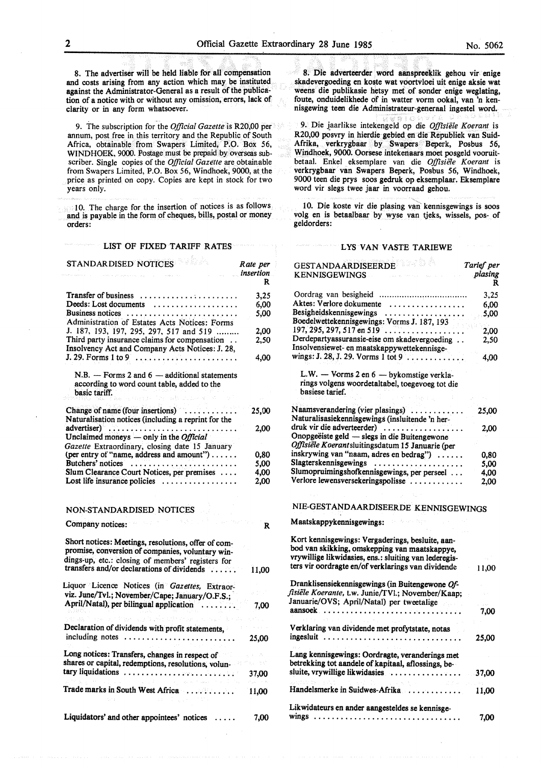8. The advertiser will be held liable for all compensation and costs arising from any action which may be instituted against the Administrator-General as a result of the publication of a notice with or without any omission, errors, lack of clarity or in any form whatsoever.

9. The subscription for the *Official Gazette* is R20,00 per annum, post free in this territory and the Republic of South Africa, obtainable from Swapers Limited, P.O. Box 56, WINDHOEK, 9000. Postage must be prepaid by overseas subscriber. Single copies of the *Official Gazette* are obtainable from Swapers Limited, P.O. Box 56, Windhoek, 9000, at the price as printed on copy. Copies are kept in stock for two years only.

10. The charge for the insertion of notices is as follows and is payable in the form of cheques, bills, postal or money orders:

#### LIST OF FIXED TARIFF RATES

| <b>STANDARDISED NOTICES</b>                                                                                                                                  | Rate per<br><i>insertion</i> |
|--------------------------------------------------------------------------------------------------------------------------------------------------------------|------------------------------|
|                                                                                                                                                              | R                            |
| <b>Transfer of business</b><br>. <del>.</del>                                                                                                                | 3,25                         |
| Deeds: Lost documents<br>.                                                                                                                                   | 6,00                         |
| Business notices                                                                                                                                             | 5,00                         |
| Administration of Estates Acts Notices: Forms                                                                                                                |                              |
| J. 187, 193, 197, 295, 297, 517 and 519                                                                                                                      | 2.00                         |
| Third party insurance claims for compensation<br>Insolvency Act and Company Acts Notices: J. 28,                                                             | 2,50                         |
| $J. 29.$ Forms 1 to 9 $\ldots \ldots \ldots \ldots \ldots \ldots$                                                                                            | 4.00                         |
| $N.B.$ - Forms 2 and $6$ - additional statements<br>according to word count table, added to the<br>basic tariff.                                             |                              |
|                                                                                                                                                              |                              |
| Change of name (four insertions)<br>Naturalisation notices (including a reprint for the                                                                      | 25,00                        |
|                                                                                                                                                              | 2,00                         |
| Unclaimed moneys $-$ only in the <i>Official</i>                                                                                                             |                              |
| Gazette Extraordinary, closing date 15 January                                                                                                               |                              |
| (per entry of "name, address and amount")<br>Butchers' notices                                                                                               | 0,80                         |
| Slum Clearance Court Notices, per premises                                                                                                                   | 5,00<br>4,00                 |
| Lost life insurance policies $\dots\dots\dots\dots\dots$                                                                                                     | 2,00                         |
|                                                                                                                                                              |                              |
| NON-STANDARDISED NOTICES                                                                                                                                     |                              |
| Company notices:                                                                                                                                             | R                            |
| Short notices: Meetings, resolutions, offer of com-<br>promise, conversion of companies, voluntary win-<br>dings-up, etc.: closing of members' registers for |                              |
| transfers and/or declarations of dividends                                                                                                                   | 11,00                        |
| Liquor Licence Notices (in Gazettes, Extraor-<br>viz. June/Tvl.; November/Cape; January/O.F.S.;                                                              |                              |
| April/Natal), per bilingual application                                                                                                                      | 7,00                         |
|                                                                                                                                                              |                              |
|                                                                                                                                                              |                              |
| Declaration of dividends with profit statements,<br>including notes<br>.                                                                                     | 25,00                        |
| Long notices: Transfers, changes in respect of                                                                                                               |                              |
| shares or capital, redemptions, resolutions, volun-                                                                                                          |                              |
| tary liquidations                                                                                                                                            | 37,00                        |
| Trade marks in South West Africa                                                                                                                             | 11,00                        |
| Liquidators' and other appointees' notices                                                                                                                   | 7,00                         |

8. Die adverteerder word aanspreeklik gehou vir enige skadevergoeding en koste wat voortvloei uit enige aksie wat weens die publikasie hetsy met of sonder enige weglating, foute, onduidelikhede of in watter vorm ookal, van 'n kennisgewing teen die Administrateur-generaal ingestel word.

9. Die jaarlikse intekengeld op die *Offisiele Koerant* is R20,00 posvry in hierdie gebied en die Republiek van Suid-Afrika, verkrygbaar by Swapers Beperk, Posbus *56,*  Windhoek, 9000. Oorsese intekenaars moet posgeld vooruitbetaal. Enke! eksemplare van die *Offisie1e Koerant* is verkrygbaar van Swapers Beperk, Posbus 56, Windhoek, 9000 teen die prys soos gedruk op eksemplaar. Eksemplare word vir slegs twee jaar in voorraad gehou.

10. Die koste vir die plasing van' kennisgewings is SOOS volg en is betaalbaar by wyse van tjeks, wissels, pos- of geldorders:

#### LYS VAN VASTE TARIEWE

| GESTANDAARDISEERDE<br><b>KENNISGEWINGS</b>                                                                                                                                                                       | Tarief per<br>plasing<br>R |
|------------------------------------------------------------------------------------------------------------------------------------------------------------------------------------------------------------------|----------------------------|
|                                                                                                                                                                                                                  | 3,25                       |
| Aktes: Verlore dokumente                                                                                                                                                                                         | 6,00                       |
| Besigheidskennisgewings                                                                                                                                                                                          | 5,00                       |
| Boedelwettekennisgewings: Vorms J. 187, 193                                                                                                                                                                      |                            |
| $197, 295, 297, 517$ en 519 $\dots \dots \dots$                                                                                                                                                                  | 2,00                       |
| Derdepartyassuransie-eise om skadevergoeding                                                                                                                                                                     | 2,50                       |
| Insolvensiewet- en maatskappywettekennisge-                                                                                                                                                                      |                            |
| wings: J. 28, J. 29. Vorms 1 tot 9                                                                                                                                                                               | 4,00                       |
| L.W. - Vorms 2 en 6 - bykomstige verkla-<br>rings volgens woordetaltabel, toegevoeg tot die<br>basiese tarief.                                                                                                   |                            |
| Naamsverandering (vier plasings)<br>Naturalisasiekennisgewings (insluitende 'n her-                                                                                                                              | 25,00                      |
| druk vir die adverteerder)                                                                                                                                                                                       | 2,00                       |
| Onopgeëiste geld — slegs in die Buitengewone                                                                                                                                                                     |                            |
| Offisiële Koerantsluitingsdatum 15 Januarie (per                                                                                                                                                                 |                            |
| inskrywing van "naam, adres en bedrag")                                                                                                                                                                          | 0,80                       |
| Slagterskennisgewings                                                                                                                                                                                            | 5,00                       |
| Slumopruimingshofkennisgewings, per perseel                                                                                                                                                                      | 4.00                       |
| Verlore lewensversekeringspolisse                                                                                                                                                                                | 2.00                       |
| NIE-GESTANDAARDISEERDE KENNISGEWINGS<br>Maatskappykennisgewings:                                                                                                                                                 |                            |
| Kort kennisgewings: Vergaderings, besluite, aan-<br>bod van skikking, omskepping van maatskappye,<br>vrywillige likwidasies, ens.: sluiting van lederegis-<br>ters vir oordragte en/of verklarings van dividende | 11,00                      |
|                                                                                                                                                                                                                  |                            |
| Dranklisensiekennisgewings (in Buitengewone Of-<br>fisiële Koerante, t.w. Junie/TVl.; November/Kaap;<br>Januarie/OVS; April/Natal) per tweetalige                                                                |                            |
|                                                                                                                                                                                                                  | 7,00                       |
|                                                                                                                                                                                                                  |                            |
| Verklaring van dividende met profytstate, notas<br>ingesluit                                                                                                                                                     | 25,00                      |
|                                                                                                                                                                                                                  |                            |
| Lang kennisgewings: Oordragte, veranderings met<br>betrekking tot aandele of kapitaal, aflossings, be-<br>sluite, vrywillige likwidasies                                                                         | 37,00                      |
| A. 200                                                                                                                                                                                                           |                            |
| Handelsmerke in Suidwes-Afrika                                                                                                                                                                                   | 11,00                      |
| Likwidateurs en ander aangesteldes se kennisge-<br>wings                                                                                                                                                         | 7.00                       |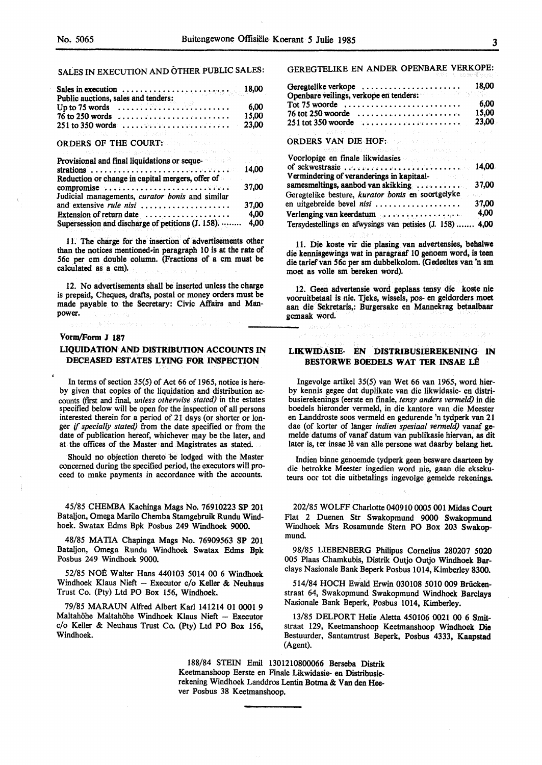# SALES IN EXECUTION AND OTHER PUBLIC SALES:

| Sales in execution $\ldots \ldots \ldots \ldots \ldots \ldots \ldots \ldots$ 18,00                                                                                                                                                                                                       |                                                                      |
|------------------------------------------------------------------------------------------------------------------------------------------------------------------------------------------------------------------------------------------------------------------------------------------|----------------------------------------------------------------------|
| Public auctions, sales and tenders:<br>Up to 75 words $\ldots \ldots \ldots \ldots \ldots \ldots$<br>$76$ to 250 words $\dots \dots \dots \dots \dots \dots \dots \dots$<br>$251$ to 350 words $\dots \dots \dots \dots \dots \dots \dots$                                               | 6.00<br>15,00<br>23,00                                               |
| こうみはくし (ほんしょうちょう) はっぽんほれつ アームがいいん ファーニー                                                                                                                                                                                                                                                  | $\omega_{\rm c} = 1.2\omega_{\rm c}$ .                               |
| ORDERS OF THE COURT: A Reserve the contract of the court of the second state of the contract of the contract of the contract of the contract of the contract of the contract of the contract of the contract of the contract o                                                           |                                                                      |
| and the second company of the second second second second second second second                                                                                                                                                                                                           |                                                                      |
| Provisional and final liquidations or seque-                                                                                                                                                                                                                                             | portas.                                                              |
| strations $\ldots$ , $\ldots$ , $\ldots$ , $\ldots$ , $\ldots$ , $\ldots$ , $\ldots$ , $\ldots$ , $\ldots$<br>Reduction or change in capital mergers, offer of                                                                                                                           | 14,00<br>$\mathcal{L}^{\mathcal{L}}$ and $\mathcal{L}^{\mathcal{L}}$ |
| compromise version of contract to the compromise of the contract of the contract of the contract of the contract of the contract of the contract of the contract of the contract of the contract of the contract of the contra<br>Judicial managements, <i>curator bonis</i> and similar | 37,00                                                                |
| and extensive <i>rule nisi</i>                                                                                                                                                                                                                                                           | 37.00                                                                |
|                                                                                                                                                                                                                                                                                          | 4.00                                                                 |
| Supersession and discharge of petitions (J. 158).                                                                                                                                                                                                                                        | 4.00                                                                 |

11. The charge for the insertion of advertisements other than the notices mentioned•in paragraph 10 is at the rate of 56c per cm double column. (Fractions of a cm must be calculated as a cm).

12. No advertisements shall be inserted unless the charge is prepaid, Cheques, drafts, postal or money orders must be made payable to the Secretary: Civic Affairs and Manpower.

#### **Vorm/Form J 187**

#### **LIQUIDATION AND DISTRIBUTION ACCOUNTS** IN **DECEASED ESTATES LYING FOR INSPECTION**

In terms of section 35(5) of Act 66 of 1965, notice is hereby given that copies of the liquidation and distribution accounts (frrst and final, *unless otherwise stated)* in the estates specified below will be open for the inspection of all persons interested therein for a period of 21 days (or shorter or longer if *specially stated)* from the date specified or from the date of publication hereof, whichever may be the later, and at the offices of the Master and Magistrates as stated.

Should no objection thereto be lodged with the Master concerned during the specified period, the executors will proceed to make payments in accordance with the accounts.

45/85 CHEMBA Kachinga Mags No. 76910223 SP 201 Bataljon, Omega Marilo Chemba Stamgebruik Rundu Windhoek. Swatax Edms Bpk Posbus 249 Windhoek 9000.

48/85 MATIA Chapinga Mags No. 76909563 SP 201 Bataljon, Omega Rundu Windhoek Swatax Edms Bpk Posbus 249 Windhoek 9000.

52/85 NOE Walter Hans 440103 5014 00 6 Windhoek Windhoek Klaus Nieft - Executor c/o Keller & Neuhaus Trust Co. (Pty) Ltd PO Box 156, Windhoek.

79/85 MARAUN Alfred Albert Karl 141214 01 0001 9 Maltahöhe Maltahöhe Windhoek Klaus Nieft - Executor c/o Keller & Neuhaus Trust Co. (Pty) Ltd PO Box 156, Windhoek.

GEREGTELIKE EN ANDER OPENBARE VERKOPE:

| the company of the company of the company of the company of the company of the company of the company of the company of the company of the company of the company of the company of the company of the company of the company                                                                                           |       |
|-------------------------------------------------------------------------------------------------------------------------------------------------------------------------------------------------------------------------------------------------------------------------------------------------------------------------|-------|
| Geregtelike verkope $\ldots \ldots \ldots \ldots \ldots \ldots \ldots$<br>Openbare veilings, verkope en tenders:                                                                                                                                                                                                        | 18,00 |
| Tot $75$ woorde                                                                                                                                                                                                                                                                                                         | 6,00  |
| $76$ tot 250 woorde                                                                                                                                                                                                                                                                                                     | 15.00 |
| $251$ tot 350 woorde $\dots \dots \dots \dots \dots \dots \dots$                                                                                                                                                                                                                                                        | 23,00 |
| 医无子宫 医醋酸盐 医阿尔巴氏试验检尿 医胸膜 医大脑神经 医心脏病                                                                                                                                                                                                                                                                                      |       |
| <b>ORDERS VAN DIE HOF:</b> A server the strategy of                                                                                                                                                                                                                                                                     |       |
| The Richard Communication of the Communication of the Communication of the Communication of                                                                                                                                                                                                                             |       |
| Voorlopige en finale likwidasies and the state of the state of the state of the state of the state of the state of the state of the state of the state of the state of the state of the state of the state of the state of the<br>of sekwestrasie $\ldots$ , $\ldots$ , $\ldots$ , $\ldots$ , $\ldots$ , $\ldots$ 14,00 |       |
| Vermindering of veranderings in kapitaal-<br>samesmeltings, aanbod van skikking                                                                                                                                                                                                                                         | 37,00 |

| Geregtelike besture, kurator bonis en soortgelyke                                                              |       |
|----------------------------------------------------------------------------------------------------------------|-------|
| en uitgebreide bevel nisi                                                                                      | 37,00 |
| Verlenging van keerdatum van Alexander van Alexander van Alexander van Alexander van Alexander van Alexander v | 4,00  |
| Tersydestellings en afwysings van petisies (J. 158)  4,00                                                      |       |

11. Die koste vir die plasing van advertensies, **behalwe**  die kennisgewings wat in paragraaf 10 genoem word, is teen die tarief van 56c per sm dubbelkolom. (Gedeeltes van 'n sm moet as voile sm bereken word).

12. Geen advertensie word geplaas tensy die koste nie vooruitbetaal is nie. Tjeks, wissels, pos- en geldorders moet aan die Sekretaris,: Burgersake en Mannekrag betaalbaar gemaak word.

#### **LIKWIDASIE- EN DISTRIBUSIEREKENING** IN **BESTORWE BOEDELS WAT TER INSAE LÊ**

Ingevolge artikel 35(5) van Wet 66 van 1965, word hierby kennis gegee dat duplikate van die likwidasie- en distribusierekenings (eerste en finale, *tensy anders vermeld)* in die boedels hieronder vermeld, in die kantore van die Meester en Landdroste soos vermeld en gedurende 'n tydperk van 21 dae (of korter of !anger *indien spesiaal vermeld)* vanaf **ge**melde datums of vanaf datum van publikasie hiervan, as dit later is, ter insae lê van alle persone wat daarby belang het.

Indien binne genoemde tydperk geen besware daarteen by die betrokke Meester ingedien word nie, gaan die eksekuteurs oor tot die uitbetalings ingevolge gemelde rekenings.

202/85 WOLFF Charlotte 040910 0005 001 Midas Court Flat 2 Duenen Str Swakopmund 9000 Swakopmund Windhoek Mrs Rosamunde Stern PO Box 203 Swakopmund.

98/85 LIEBENBERG Philipus Cornelius 280207 5020 005 Plaas Chamkubis, Distrik Outjo Outjo Windhoek **Bar**clays Nasionale Bank Beperk Posbus 1014, Kimberley 8300.

514/84 HOCH Ewald Erwin 030108 5010 009 Briickenstraat 64, Swakopmund Swakopmund Windhoek Barclays Nasionale Bank Beperk, Posbus 1014, Kimberley.

13/85 DELPORT Helie Aletta 450106 0021 00 6 Smitstraat 129, Keetmanshoop Keetmanshoop Windhoek Die Bestuurder, Santamtrust Beperk, Posbus 4333, Kaapstad (Agent).

188/84 STEIN Emil 1301210800066 Berseba Distrik Keetmanshoop Eerste en Finale Likwidasie- en Distribusierekening Windhoek Landdros Lentin Botma & Van den Reever Posbus 38 Keetmanshoop.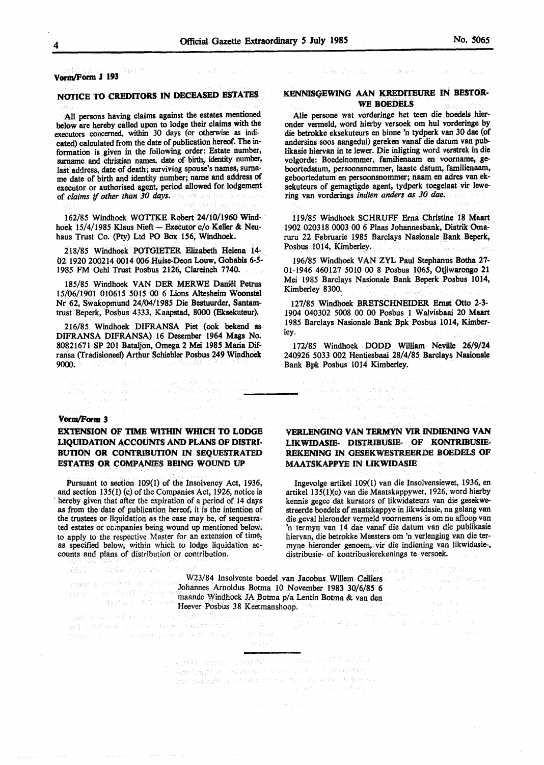#### $\sum_{i=1}^n \frac{1}{n_i} \sum_{j=1}^n \frac{1}{n_j} \frac{1}{n_j}$ **Vorm/Form J 193**

## **NOTICE TO CREDITORS** IN **DECEASED ESTATES**

All persons having claims against the estates mentioned below are hereby called upon to lodge their claims with the executors concerned, within 30 days (or otherwise as indicated) calculated from the date of publication hereof. The information is given in the following order: Estate number, surname and christian names, date of birth, identity number, last address, date of death; surviving spouse's names, surname date of birth and identity number; name and address of executor or authorised agent, period allowed for lodgement of *claims* ff *other than 30 days.*  win beech au

162/85 Windhoek WOTTKE Robert 24/10/1960 Windhoek 15/4/1985 Klaus Nieft - Executor c/o Keller & Neuhaus Trust Co. (Pty) Ltd PO Box 156, Windhoek.

218/85 Windhoek POTGIETER Elizabeth Helena 14- 02 1920 200214 0014 006 Huise-Deon Louw, Gobabis *6-5-* 1985 FM Oehl Trust Posbus 2126, Clareinch 7740.

185/85 Windhoek VAN DER MERWE Daniel Petrus 15/06/1901 010615 5015 00 6 Lions Altesheim Woonstel Nr 62, Swakopmund 24/04/1985 Die Bestuurder, Santamtrust Beperk, Posbus 4333, Kaapstad, 8000 (Eksekuteur).

216/85 Windhoek DIFRANSA Piet (ook bekend as DIFRANSA DIFRANSA) 16 Desember 1964 Mags No. 80821671 SP 201 Bataljon, Omega 2 Mei 1985 Maria Difransa (Tradisioneel) Arthur Schiebler Posbus **249 Windhoek 9000.** All new PAS ages of the planticapity distributed by a<br>- Fast Marino of the annual of the planticapity of the second the<br>- Participation of the plantic planticapity of the second the second the plantic second the se

## **VomvForm 3**

## **EXTENSION OF TIME WITHIN WHICH TO LODGE UQUIDATION ACCOUNTS AND PLANS OF DISTRI-BUTION OR CONTRIBUTION IN SEQUESTRATED ESTATES OR COMPANIES BEING WOUND UP**

Pursuant to section 109(1) of the Insolvency Act, 1936, and section 135(1) (c) of the Companies Act, 1926, notice is hereby given that after the expiration of a period of 14 days as from the date of publication hereof, it is the intention of the trustees or liquidation as the case may be, of sequestrated estates or companies being wound up mentioned below. to apply to the respective Master for an extension of time, as specified below, within which to lodge liquidation accounts and plans of distribution or contribution.

计数数经路 新西 医细胞 强制的现在分词

#### **KENNISQEWING AAN KREDITEURE** IN **BESTOR-WE BOEDELS**

THE REAL PROPERTY OF A RIGHT FOR LICE

Alle persone wat vorderinge het teen die boedels hieronder vermeld, word hierby versoek om hul vorderinge by die betrokke eksekuteurs en binne 'n tydperk van 30 dae (of andersins soos aangedui) gereken vanaf die datum van publikasie hiervan in te lewer. Die inligting word verstrek in die volgorde: Boedelnommer, familienaam en voomame, **ge**boortedatum, persoonsnommer, laaste datum, familienaam, geboortedatum en persoonsnommer; naam en adres van eksekuteurs of gemagtigde agent, tydperk toegelaat vir lewering van vorderings *indien anders as 30* dae.

119/85 Windhoek SCHRUPP Erna Christine 18 Maart 1902 020318 0003 00 6 Plaas Johannesbank, Distrik Omaruru 22 Februarie 1985 Barclays Nasionale Bank Beperk, Posbus 1014, Kimberley.

196/85 Windhoek VAN ZYL Paul Stephanus Botha 27- 01-1946 460127 5010 00 8 Posbus 1065, Otjiwarongo 21 Mei 1985 Barclays Nasionale Bank Beperk Posbus 1014, Kimberley 8300.

127/85 Windhoek BRETSCHNEIDER Ernst Otto 2-3- 1904 040302 5008 00 00 Posbus 1 Walvisbaai 20 Maart 1985 Barclays Nasionale Bank Bpk Posbus 1014, Kimberley.

172/85 Windhoek DODD William Neville 26/9/24 240926 5033 002 Hentiesbaai 28/4/85 Barclays Nasionale Bank Bpk Posbus 1014 Kimberley.

an an Sir Bear anns an Dùbhailte an <sup>19</sup>th ann an 19th e, al al Polazionia militaria.<br>Agustina i Sina controllazioni con

## **VERLENGING VAN TERMYN VIR INDIENING VAN UKWIDASIE- DISTRIBUSIE- OF KONTRIBUSIE-REKENING IN OESEKWESTREERDE BOBDELS OF MAATSKAPPYE** IN **LIKWIDASIE**

Ingevolge artikel 109(1) van die Insolvensiewet, 1936, en artikel 135(l)(c} van die Maatskappywet, 1926, word hierby kennis gegee dat kurators of likwidateurs van die gesekwestreerde boedels of maatskappye in likwidasie, na gelang **van**  die geval hieronder vermeld voornemens is om na afloop van 'n termyn van 14 dae vanaf die datum van die publikasie hiervan, die betrokke Meesters om 'n verlenging van die termyne hieronder genoem, vir die indiening van likwidasie-, distribusie- of kontribusierekenings te versoek.

W23/84 Insolvente boedel van Jacobus Willem Celliers Johannes Arnoldus Botma 10 November 1983 **30/6/85** 6 maande Windhoek JA Botma p/a Lentin Botma & van den

Heever Posbus 38 Keetmanshoop. 1989 - 1989 - 1989 - 1989 - 1989 - 1989 - 1989 - 1989 - 1989 - 1989 - 1989 - 19<br>Here I die Stadius 1989 - 1989 - 1989 - 1989 - 1989 - 1989 - 1989 - 1989 - 1988 - 1988 - 1988 - 1988 - 1988 -<br>H para tanàna ao amin'ny faritr'i Normaldie, ao amin'ny faritr'i Normandie, ao<br>Ny faritr'ora dia GMT+1. Ny kaodim-paositra 2008–2014.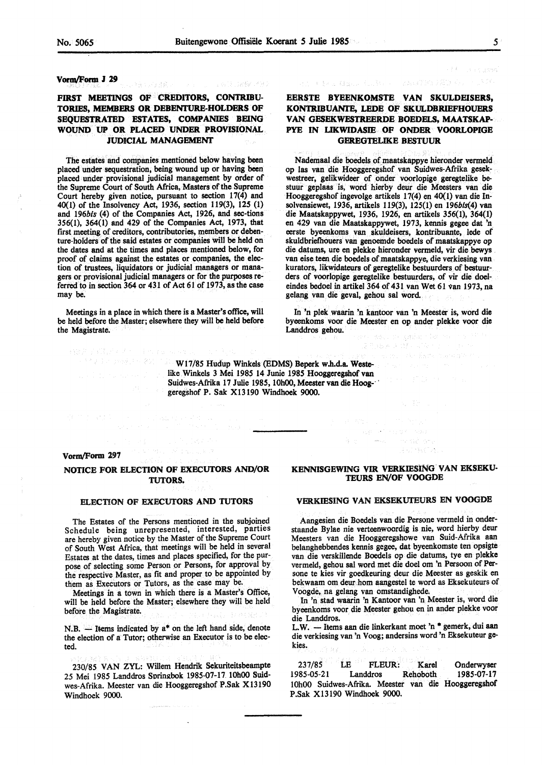Licultà (San Wall Select)

#### **VOflll/Form** *I* **29**

## FIRST MEETINGS OF CREDITORS, CONTRIBU-**TORIES, MEMBERS OR DEBENTURE-HOLDERS OF SEQUESTRATED ESTATES, COMPANIES BEING WOUND UP OR PLACED UNDER PROVISIONAL JUDICIAL MANAGEMENT**

医身上 这是牙髓。

The estates and companies mentioned below having been placed under sequestration, being wound up or having been placed under provisional judicial management by order of the Supreme Court of South Africa, Masters of the Supreme Court hereby given notice, pursuant to section 17(4) and 40(1) of the Insolvency Act, 1936, section 119(3), 125 (1) and 196bis (4) of the Companies Act, 1926, and sec-tions 356(1), 364(1) and 429 of the Companies Act, 1973, that first meeting of creditors, contributories, members or debenture-holders of the said estates or companies will be held on the dates and at the times and places mentioned below, for proof of claims against the estates or companies, the election of trustees, liquidators or judicial managers or managers or provisional judicial managers or for the purposes referred to in section 364 or 431 of Act 61 of 1973, as the case may be.

Meetings in a place in which there is a Master's office, will be held before the Master; elsewhere they will be held before the Magistrate.

新城市学院提高基本。 中华学校 医单元的 12 V December 2011

ER Consideration

 $\mathcal{A}(\mathcal{Y})$  is Grass from  $\mathcal{Y}$  . RANTES FEDER

## **EERSTE BYEENKOMSTE VAN SKULDEISERS, KONTRIBUANTE, LEDE OF SKULDBRIEFHOUERS VAN GBSEKWBSTREERDE BOEDELS, MAATSKAP-PYE IN LIKWIDASIE OF ONDER VOORLOPIGE GEREGTELIKE BESTUUR**

Nademaal die boedels of maatskappye hieronder vermeld op las van die Hooggeregshof van Suidwes-Afrika gesekwestreer, gelikwideer of onder voorlopige. geregtelike bestuur geplaas is, word hierby deur die Meesters van die Hooggeregshof ingevolge artikels 17(4) en 40(1) van die Insolvensiewet, 1936, artikels 119(3), 125(1) en 196bls(4) van die Maatskappywet, 1936, 1926, en artikels 356(1), 364(1) en 429 van die Maatskappywet, 1973, kennis gegee dat 'n. eerste byeenkoms van skuldeisers, kontribuante, lede of skuldbriefhouers van genoemde boedels of maatskappye op die datums, ure en plekke hieronder vermeld, vir die bewys van eise teen die boedels of maatskappye, die verkiesing van kurators, likwidateurs of geregtelike bestuurders of bestuurders of voorlopige geregtelike bestuurders, of vir die doeleindes bedoel in artikel 364 of 431 van Wet 61 van 1973, na gelang van die geval, gehou sal word.

In 'n plek waarin 'n kantoor van 'n Meester is, word die byeenkoms voor die Meester en op ander plekke voor die Landdros gehou.

เด็ก ประกอบนี้ คนได้ก

W17/85 Hudup Winkels (EDMS) Beperk w.h.d.a. Westelike Winkels 3 Mei 1985 14 Junie 1985 Hooggeregshof van Suidwes-Afrika 17 Julie 1985, 10h00, Meester van die Hoog-· · geregshof P. Sak Xl3190 Windhoek 9000.

#### Vorm/Form 297

#### NOTICE FOR ELECTION OF EXECUTORS AND/OR **TUTORS.**

#### ELECTION OF EXECUTORS **AND TUTORS**

The Estates of the Persons mentioned in the subjoined Schedule being unrepresented, interested, parties are hereby given notice by the Master of the Supreme Court of South West Africa, that meetings will be held in several Estates at the dates, times and places specified, for the purpose of selecting some Person or Persons, for approval by the respective Master, as fit and proper to be appointed by them as Executors or Tutors, as the case may be.

Meetings in a town in which there is a Master's Office, will be held before the Master; elsewhere they will be held before the Magistrate.

N.B.  $-$  Items indicated by  $a^*$  on the left hand side, denote the election of a Tutor; otherwise an Executor is to be elected.

230/85 VAN ZYL: Willem Hendrik Sekuriteitsbeampte 25 Mei 1985 Landdros Sorin2bok 1985-07-17 10h00 Suidwes-Afrika. Meester van die Hooggeregshof P.Sak Xl3190 Windhoek 9000.

#### **KENNISGEWING V1R VERKIESING.VAN EKSEKU-TEURS EN/OF VOOGDE**

가게 없은 가게. 民权协作者,

#### **VERKIESING VAN** EKSEKUTEURS EN **VOOGDE**

Aangesien die Boedels van die Persone vermeld in onderstaande Bylae nie verteenwoordig is nie, word hierby deur Meesters van die Hooggeregshowe van Suid-Afrika aan belanghebbendes kennis gegee, dat byeenkomste ten opsigte van die verskillende Boedels op die datums, tye en plekke vermeld, gehou sal word met die doel om 'n Persoon of **Per** sone te kies vir goedkeuring deur die Meester as geskik en bekwaam om deur horn aangestel te word as Eksekuteurs of V oogde, na gelang van omstandighede.

In 'n stad waarin 'n Kantoor van 'n Meester is, word die byeenkoms voor die Meester gehou en in ander plekke voor die Landdros.

L.W. - Items aan die linkerkant moet 'n \* gemerk, dui aan die verkiesing van 'n Voog; andersins word 'n Eksekuteur gekies.

237/85 LE FLEUR: Karel 1985-05-21 Landdros Rehoboth 10h00 Suidwes-Afrika. Meester van die Hooggeregshof P.Sak Xl3190 Windhoek 9000. Onderwyser 1985-07-17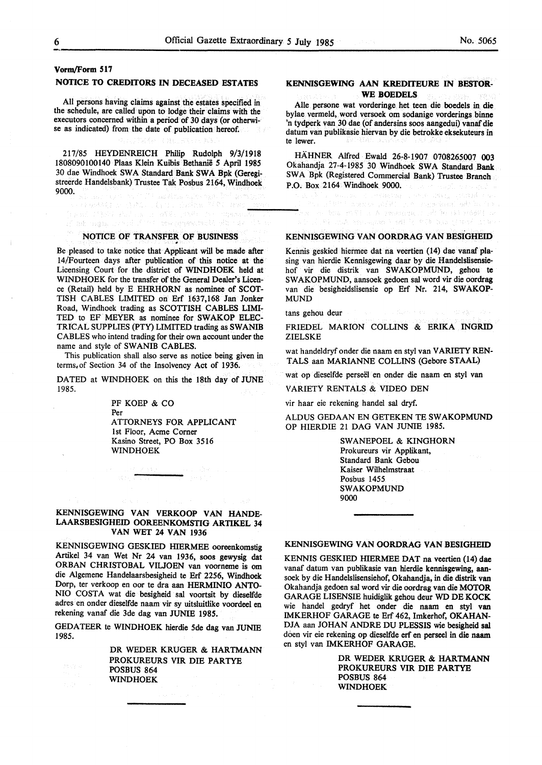.<br>Lagã silitoria 因行程序的 网络维护

## **Vorm/Form 517**

#### **NOTICE TO CREDITORS IN DECEASED ESTATES**

All persons having claims against the estates specified in the schedule, are called upon to lodge their claims with the executors concerned within a period of 30 days (or otherwise as indicated) from the date of publication hereof.

217/85 HEYDENREICH Philip Rudolph 9/3/1918 1808090100140 Plaas Klein Kuibis Bethanie *5* April **1985**  30 dae Windhoek SW A Standard Bank SWA Bpk (Geregistreerde Handelsbank) Trustee Tak Posbus 2164, Windhoek 9000.

an de la 1990<br>Angele Carl (1994), La 1990 (1990)<br>An Class Bullau (1994), 1994 (199

en er en stats til de en stort i storte større til en eller.<br>Det statsgage stort på 1,5 min i sterre pørgerastre bås rekt.

**NOTICE OF TRANSFER OF BUSINESS**<br>Be pleased to take notice that Applicant will be made after 14/Fourteen days after publication of this notice at the Licensing Court for the district of WINDHOEK held at WINDHOEK for the transfer of the General Dealer's Licence (Retail) held by E EHRHORN as nominee of SCOT-TISH CABLES LIMITED on Erf 1637,168 Jan Jonker Road, Windhoek trading as SCOTTISH CABLES LIMI-TED to EF MEYER as nominee for SWAKOP ELEC-TRICAL SUPPLIES (PTY) LIMITED trading as **SWANIB**  CABLES who intend trading for their own account under the name and style of SWANIB CABLES.

This publication shall also serve as notice being given in terms.of Section 34 of the Insolvency Act of 1936.

DATED at WINDHOEK on this the 18th day of JUNE 1985.

> PF KOEP & CO Per ATTORNEYS FOR APPLICANT 1st Floor, Acme Comer Kasino Street, PO Box 3516 WINDHOEK

#### **KENNISGEWING VAN VERKOOP VAN HANDE-LAARSBESIGHEID OOREENKOMSTIG ARTIKEL** 34 VAN WET 24 VAN 1936

KENNISGEWING GESKIED HIERMEE ooreenkomstig Artikel 34 van Wet Nr 24 van 1936, soos gewysig dat ORBAN CHRISTOBAL VILJOEN van voorneme is om die Algernene Handelaarsbesigheid te Erf 2256, Windhoek Dorp, ter verkoop en oor te dra aan HERMINIO ANTO-NIO COSTA wat die besigheid sal voortsit by dieselfde adres en onder dieselfde naarn vir sy uitsluitlike voordeel en rekening vanaf die 3de dag van JUNIE 1985.

GEDATEER te WINDHOEK hierdie 5de dag van JUNIE 1985.

> DR WEDER KRUGER & HARTMANN PROKUREURS VIR DIE PARTYE POSBUS 864 WINDHOEK

## **KENNISGEWING AAN KREDITEURE IN BESTOR-WE BOEDELS**

Alie persone wat vorderinge het teen die boedels in die bylae vermeld, word versoek om sodanige vorderings binne 'n tydperk van 30 dae (of andersins soos aangedui) vanaf die datum van publikasie hiervan by die betrokke eksekuteurs in te lewer.

HAHNER Alfred Ewald 26-8-1907 0708265007 003 Okahandja 27-4-1985 30 Windhoek SWA Standard Bank SWA Bpk (Registered Commercial Bank) Trustee Branch P.O. Box 2164 Windhoek 9000.

#### **KENNISGEWING VAN OORDRAG VAN BESIGHEID**

Now is used 45% of the Companies Austin

Kennis geskied hierrnee dat na veertien {14) dae vanaf plasing van hierdie Kennisgewing daar by die Handelslisensiehof vir die distrik van SW AKOPMUND, gehou te SW AKOPMUND, aansoek gedoen sal word vir die oordrag van die besigheidslisensie op Erf Nr. 214, **SW AKOP-**MUND

tans gehou deur

FRIEDEL MARION COLLINS & ERIKA INGRID ZIELSKE

wat handeldryf onder die naam en sty! van VARIETY REN-TALS aan MARIANNE COLLINS (Gebore STAAL)

wat op dieselfde perseël en onder die naam en styl van

VARIETY RENTALS & VIDEO DEN

vir haar eie rekening handel sal dryf.

ALDUS GEDAAN EN GETEKEN TE SWAKOPMUND OP HIERDIE 21 DAG VAN JUNIE 1985.

> SWANEPOEL & KINGHORN Prokureurs vir Applikant, Standard Bank Gebou Kaiser Wilhelmstraat Posbus 1455 SWAKOPMUND 9000

## **KENNISGEWING VAN OORDRAG VAN BESIGHEID**

KENNIS GESKIED HIERMEE DAT na veertien {14) dae vanaf datum van publikasie van hierdie kennisgewing, aansoek by die Handelslisensiehof, Okahandja, in die distrik van Okahandja gedoen sal word vir die oordrag van die **MOTOR**  GARAGE LISENSIE huidiglik gehou deur WO DE **KOCK**  wie handel gedryf het onder die naam en styl van IMKERHOF GARAGE te Erf 462, lmkerhof, **OKAHAN-**DJA aan JOHAN ANDRE DU PLESSIS wie besigheid sal doen vir eie rekening op dieselfde erf en perseel in die naam en sty! van IMKERHOF GARAGE.

> DR WEDER KRUGER & HARTMANN PROKUREURS VIR DIE PARTYE POSBUS 864 WINDHOEK